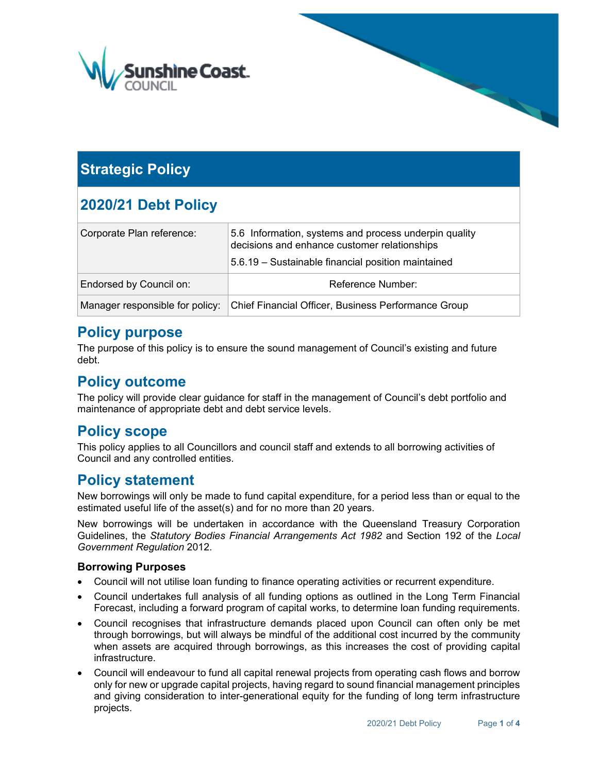

# **Strategic Policy**

# **2020/21 Debt Policy**

| Corporate Plan reference:       | 5.6 Information, systems and process underpin quality<br>decisions and enhance customer relationships |
|---------------------------------|-------------------------------------------------------------------------------------------------------|
|                                 | 5.6.19 – Sustainable financial position maintained                                                    |
| Endorsed by Council on:         | Reference Number:                                                                                     |
| Manager responsible for policy: | Chief Financial Officer, Business Performance Group                                                   |

### **Policy purpose**

The purpose of this policy is to ensure the sound management of Council's existing and future debt.

## **Policy outcome**

The policy will provide clear guidance for staff in the management of Council's debt portfolio and maintenance of appropriate debt and debt service levels.

## **Policy scope**

This policy applies to all Councillors and council staff and extends to all borrowing activities of Council and any controlled entities.

### **Policy statement**

New borrowings will only be made to fund capital expenditure, for a period less than or equal to the estimated useful life of the asset(s) and for no more than 20 years.

New borrowings will be undertaken in accordance with the Queensland Treasury Corporation Guidelines, the *Statutory Bodies Financial Arrangements Act 1982* and Section 192 of the *Local Government Regulation* 2012.

#### **Borrowing Purposes**

- Council will not utilise loan funding to finance operating activities or recurrent expenditure.
- Council undertakes full analysis of all funding options as outlined in the Long Term Financial Forecast, including a forward program of capital works, to determine loan funding requirements.
- Council recognises that infrastructure demands placed upon Council can often only be met through borrowings, but will always be mindful of the additional cost incurred by the community when assets are acquired through borrowings, as this increases the cost of providing capital infrastructure.
- Council will endeavour to fund all capital renewal projects from operating cash flows and borrow only for new or upgrade capital projects, having regard to sound financial management principles and giving consideration to inter-generational equity for the funding of long term infrastructure projects.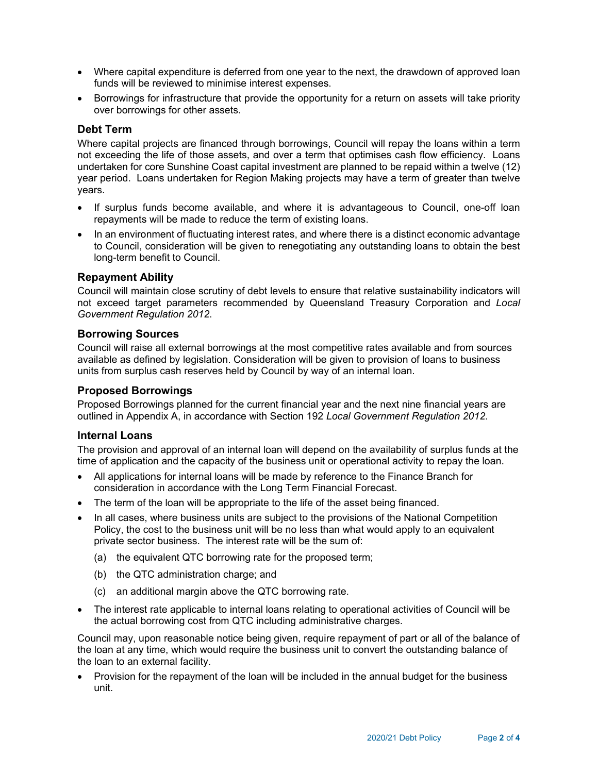- Where capital expenditure is deferred from one year to the next, the drawdown of approved loan funds will be reviewed to minimise interest expenses.
- Borrowings for infrastructure that provide the opportunity for a return on assets will take priority over borrowings for other assets.

#### **Debt Term**

Where capital projects are financed through borrowings, Council will repay the loans within a term not exceeding the life of those assets, and over a term that optimises cash flow efficiency. Loans undertaken for core Sunshine Coast capital investment are planned to be repaid within a twelve (12) year period. Loans undertaken for Region Making projects may have a term of greater than twelve years.

- If surplus funds become available, and where it is advantageous to Council, one-off loan repayments will be made to reduce the term of existing loans.
- In an environment of fluctuating interest rates, and where there is a distinct economic advantage to Council, consideration will be given to renegotiating any outstanding loans to obtain the best long-term benefit to Council.

#### **Repayment Ability**

Council will maintain close scrutiny of debt levels to ensure that relative sustainability indicators will not exceed target parameters recommended by Queensland Treasury Corporation and *Local Government Regulation 2012*.

#### **Borrowing Sources**

Council will raise all external borrowings at the most competitive rates available and from sources available as defined by legislation. Consideration will be given to provision of loans to business units from surplus cash reserves held by Council by way of an internal loan.

#### **Proposed Borrowings**

Proposed Borrowings planned for the current financial year and the next nine financial years are outlined in Appendix A, in accordance with Section 192 *Local Government Regulation 2012*.

#### **Internal Loans**

The provision and approval of an internal loan will depend on the availability of surplus funds at the time of application and the capacity of the business unit or operational activity to repay the loan.

- All applications for internal loans will be made by reference to the Finance Branch for consideration in accordance with the Long Term Financial Forecast.
- The term of the loan will be appropriate to the life of the asset being financed.
- In all cases, where business units are subject to the provisions of the National Competition Policy, the cost to the business unit will be no less than what would apply to an equivalent private sector business. The interest rate will be the sum of:
	- (a) the equivalent QTC borrowing rate for the proposed term;
	- (b) the QTC administration charge; and
	- (c) an additional margin above the QTC borrowing rate.
- The interest rate applicable to internal loans relating to operational activities of Council will be the actual borrowing cost from QTC including administrative charges.

Council may, upon reasonable notice being given, require repayment of part or all of the balance of the loan at any time, which would require the business unit to convert the outstanding balance of the loan to an external facility.

• Provision for the repayment of the loan will be included in the annual budget for the business unit.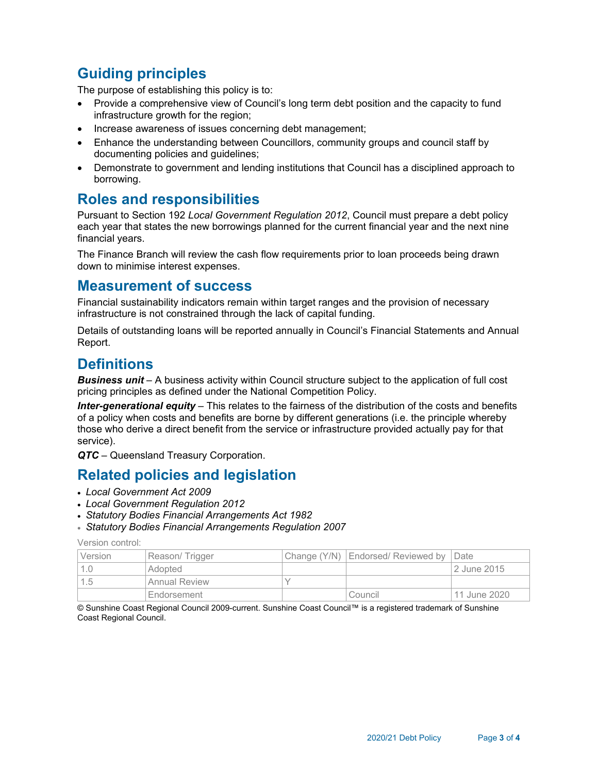# **Guiding principles**

The purpose of establishing this policy is to:

- Provide a comprehensive view of Council's long term debt position and the capacity to fund infrastructure growth for the region;
- Increase awareness of issues concerning debt management;
- Enhance the understanding between Councillors, community groups and council staff by documenting policies and guidelines;
- Demonstrate to government and lending institutions that Council has a disciplined approach to borrowing.

### **Roles and responsibilities**

Pursuant to Section 192 *Local Government Regulation 2012*, Council must prepare a debt policy each year that states the new borrowings planned for the current financial year and the next nine financial years.

The Finance Branch will review the cash flow requirements prior to loan proceeds being drawn down to minimise interest expenses.

### **Measurement of success**

Financial sustainability indicators remain within target ranges and the provision of necessary infrastructure is not constrained through the lack of capital funding.

Details of outstanding loans will be reported annually in Council's Financial Statements and Annual Report.

### **Definitions**

*Business unit* – A business activity within Council structure subject to the application of full cost pricing principles as defined under the National Competition Policy.

*Inter-generational equity* – This relates to the fairness of the distribution of the costs and benefits of a policy when costs and benefits are borne by different generations (i.e. the principle whereby those who derive a direct benefit from the service or infrastructure provided actually pay for that service).

*QTC* – Queensland Treasury Corporation.

### **Related policies and legislation**

- *Local Government Act 2009*
- *Local Government Regulation 2012*
- *Statutory Bodies Financial Arrangements Act 1982*
- *Statutory Bodies Financial Arrangements Regulation 2007*

Version control:

| Version | Reason/Trigger       | Change (Y/N)   Endorsed/ Reviewed by   Date |              |
|---------|----------------------|---------------------------------------------|--------------|
|         | Adopted              |                                             | 2 June 2015  |
| 1.5     | <b>Annual Review</b> |                                             |              |
|         | 'Endorsement         | Council                                     | 11 June 2020 |

© Sunshine Coast Regional Council 2009-current. Sunshine Coast Council™ is a registered trademark of Sunshine Coast Regional Council.